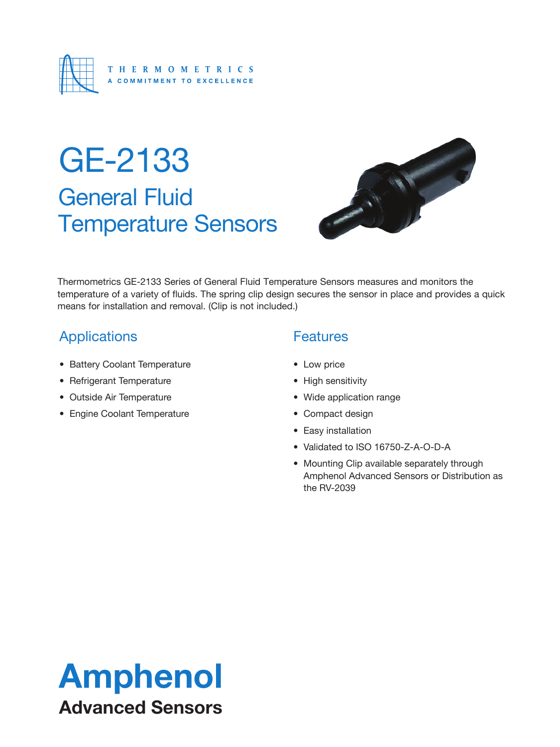

## General Fluid Temperature Sensors GE-2133



Thermometrics GE-2133 Series of General Fluid Temperature Sensors measures and monitors the temperature of a variety of fluids. The spring clip design secures the sensor in place and provides a quick means for installation and removal. (Clip is not included.)

### **Applications**

- Battery Coolant Temperature
- Refrigerant Temperature
- Outside Air Temperature
- Engine Coolant Temperature

#### **Features**

- Low price
- High sensitivity
- Wide application range
- Compact design
- Easy installation
- Validated to ISO 16750-Z-A-O-D-A
- Mounting Clip available separately through Amphenol Advanced Sensors or Distribution as the RV-2039

## Amphenol Advanced Sensors